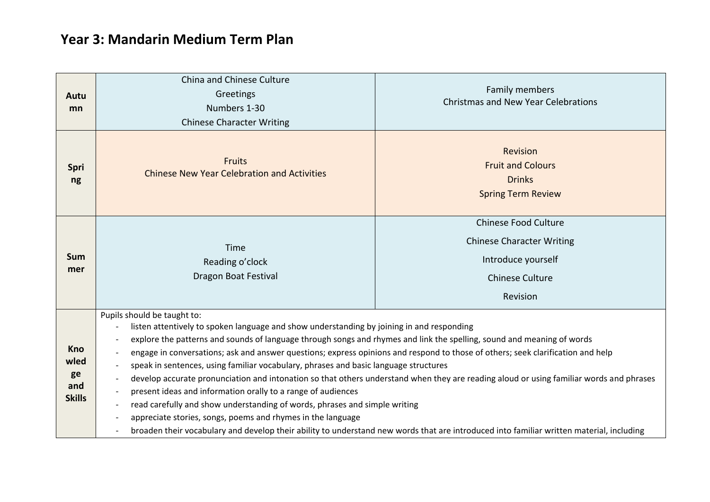## **Year 3: Mandarin Medium Term Plan**

| Autu<br>mn                                       | China and Chinese Culture<br>Greetings<br>Numbers 1-30<br><b>Chinese Character Writing</b>                                                                                                                                                                                                                                                                                                                                                                                                                                                                                                                                                                                                                                                                                                                                                                                                                                                                                                                                                                                                        | Family members<br><b>Christmas and New Year Celebrations</b>                                                                |
|--------------------------------------------------|---------------------------------------------------------------------------------------------------------------------------------------------------------------------------------------------------------------------------------------------------------------------------------------------------------------------------------------------------------------------------------------------------------------------------------------------------------------------------------------------------------------------------------------------------------------------------------------------------------------------------------------------------------------------------------------------------------------------------------------------------------------------------------------------------------------------------------------------------------------------------------------------------------------------------------------------------------------------------------------------------------------------------------------------------------------------------------------------------|-----------------------------------------------------------------------------------------------------------------------------|
| <b>Spri</b><br>ng                                | <b>Fruits</b><br><b>Chinese New Year Celebration and Activities</b>                                                                                                                                                                                                                                                                                                                                                                                                                                                                                                                                                                                                                                                                                                                                                                                                                                                                                                                                                                                                                               | <b>Revision</b><br><b>Fruit and Colours</b><br><b>Drinks</b><br><b>Spring Term Review</b>                                   |
| Sum<br>mer                                       | Time<br>Reading o'clock<br>Dragon Boat Festival                                                                                                                                                                                                                                                                                                                                                                                                                                                                                                                                                                                                                                                                                                                                                                                                                                                                                                                                                                                                                                                   | <b>Chinese Food Culture</b><br><b>Chinese Character Writing</b><br>Introduce yourself<br><b>Chinese Culture</b><br>Revision |
| <b>Kno</b><br>wled<br>ge<br>and<br><b>Skills</b> | Pupils should be taught to:<br>listen attentively to spoken language and show understanding by joining in and responding<br>explore the patterns and sounds of language through songs and rhymes and link the spelling, sound and meaning of words<br>$\overline{\phantom{a}}$<br>engage in conversations; ask and answer questions; express opinions and respond to those of others; seek clarification and help<br>speak in sentences, using familiar vocabulary, phrases and basic language structures<br>develop accurate pronunciation and intonation so that others understand when they are reading aloud or using familiar words and phrases<br>$\overline{\phantom{a}}$<br>present ideas and information orally to a range of audiences<br>read carefully and show understanding of words, phrases and simple writing<br>$\overline{\phantom{a}}$<br>appreciate stories, songs, poems and rhymes in the language<br>$\overline{\phantom{a}}$<br>broaden their vocabulary and develop their ability to understand new words that are introduced into familiar written material, including |                                                                                                                             |